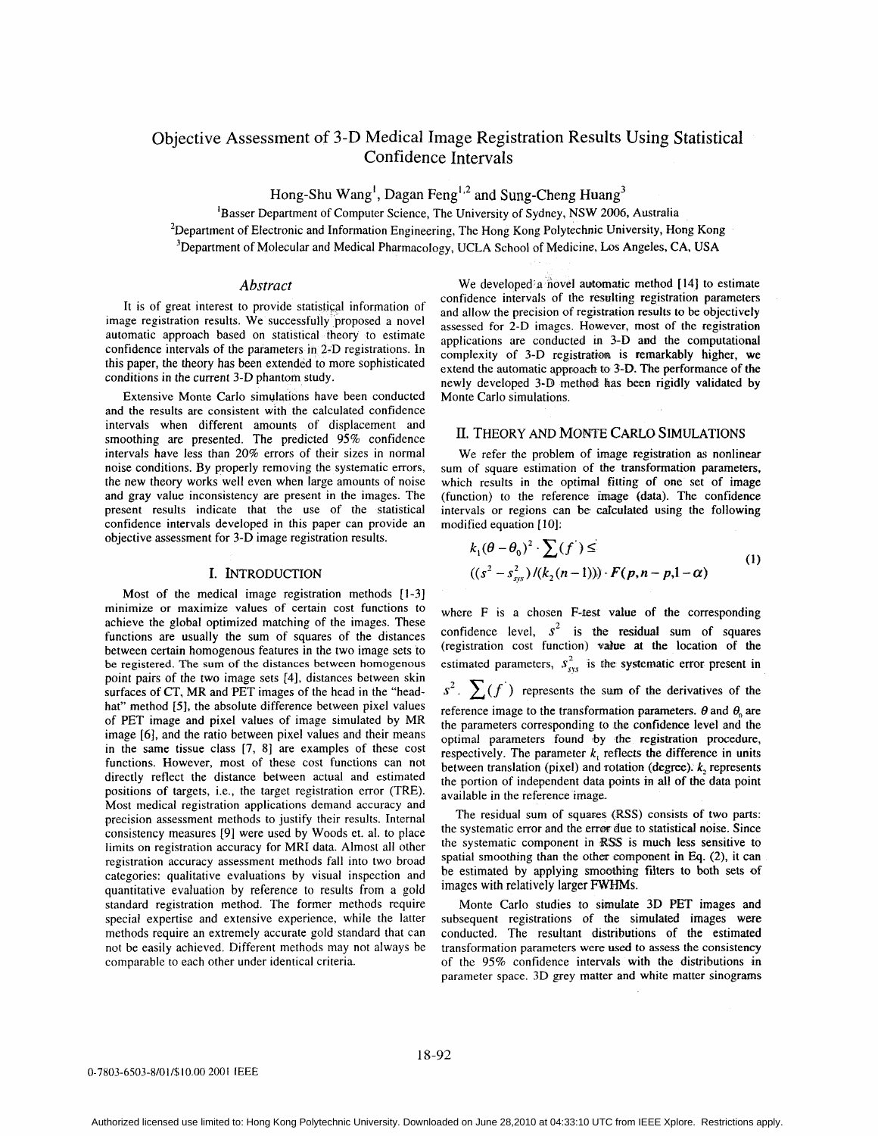# Objective Assessment of 3-D Medical Image Registration Results Using Statistical Confidence Intervals

**Hong-Shu Wang',** Dagan Feng',\* **and Sung-Cheng Huang3** 

'Basser Department of Computer Science, The University of Sydney, **NSW 2006,** Australia 'Department of Electronic and Information Engineering, The Hong Kong Polytechnic University, Hong Kong <sup>3</sup>Department of Molecular and Medical Pharmacology, UCLA School of Medicine, Los Angeles, CA, USA

# *Abstract*

It is of great interest to provide statistical information of image registration results. We successfully proposed a novel automatic approach based on statistical theory to estimate confidence intervals of the parameters in 2-D registrations. In this paper, the theory has been extended to more sophisticated conditions in the current 3-D phantom study.

Extensive Monte Carlo simulations have been conducted and the results are consistent with the calculated confidence intervals when different amounts of displacement and smoothing are presented. The predicted 95% confidence intervals have less than 20% errors of their sizes in normal noise conditions. By properly removing the systematic errors, the new theory works well even when large amounts of noise and gray value inconsistency are present in the images. The present results indicate that the use of the statistical confidence intervals developed in this paper can provide an objective assessment for 3-D image registration results.

## I. INTRODUCTION

Most of the medical image registration methods [I-31 minimize or maximize values of certain cost functions to achieve the global optimized matching of the images. These functions are usually the sum of squares of the distances between certain homogenous features in the two image sets to be registered. **The sum** of **the** distances between homogenous point pairs of the two image sets **[4],** distances between skin surfaces of CT, MR and PET images of the head in the "headhat" method [5], the absolute difference between pixel values of PET image and pixel values of image simulated by MR image **[6],** and the ratio between pixel values and their means in the same tissue class [7, **81** are examples of these cost functions. However, most of these cost functions can not directly reflect the distance between actual and estimated positions of targets, i.e., the target registration error (TRE). Most medical registration applications demand accuracy and precision assessment methods to justify their results. Internal consistency measures [9] were used by Woods et. al. to place limits on registration accuracy for MRI data. Almost all other registration accuracy assessment methods fall into two broad categories: qualitative evaluations by visual inspection and quantitative evaluation by reference to results from a gold standard registration method. The former methods require special expertise and extensive experience, while the latter methods require an extremely accurate gold standard that can not be easily achieved. Different methods may not always be comparable to each other under identical criteria.

We developed a novel automatic method **[14]** to estimate confidence intervals of the resulting registration parameters and allow the precision of registration **results** to be objectively assessed for 2-D images. However, most of the registration applications are conducted **m 3-D** and the computational complexity of 3-D registration is remarkably higher, we extend the automatic appoach *to* **3-D.** The performance of the newly developed 3-D method has **been** rigidly validated by Monte Carlo simulations.

# **II. THEORY AND MONTE CARLO SIMULATIONS**

We refer the problem of image registration as nonlinear sum of square estimation of the transformation parameters, which results in the optimal fitting of one set of image (function) to the reference **image** (data). The confidence intervals or regions can be calculated using the following modified equation **[IO]:** 

$$
k_1(\theta - \theta_0)^2 \cdot \sum (f^{\cdot}) \le
$$
  
((s<sup>2</sup> - s<sub>sys</sub><sup>2</sup>)/(k<sub>2</sub>(n-1)))  $\cdot$  F(p,n-p,l- $\alpha$ ) (1)

where  $F$  is a chosen  $F$ -test value of the corresponding confidence level,  $s^2$  is the residual sum of squares (registration cost function) **value** at the location of the estimated parameters,  $s_{xy}^2$  is the systematic error present in

 $s^2$ .  $\sum(f)$  represents the sum of the derivatives of the reference image to the transformation parameters.  $\theta$  and  $\theta_0$  are the parameters corresponding to the confidence level and the optimal parameters found by the registration procedure, respectively. The parameter  $k$ , reflects the difference in units between translation (pixel) and rotation (degree). *k,* represents the portion of independent data points in **all** of the data point available in the reference image.

The residual sum of squares **(RSS)** consists of two **parts:**  the systematic error and the error due to statistical noise. Since the systematic component in RSS is much less sensitive to spatial smoothing than the other component in Eq. (2), it can be estimated by applying smoothing filters to both sets of images with relatively larger FWHMs.

Monte Carlo studies to simdate **3D** PET images and subsequent registrations of the simulated images were conducted. The resultant distributions of the estimated transformation parameters were **used to** assess the consistency of the 95% confidence intervals with the distributions in parameter space. **3D** grey matter and white matter sinograms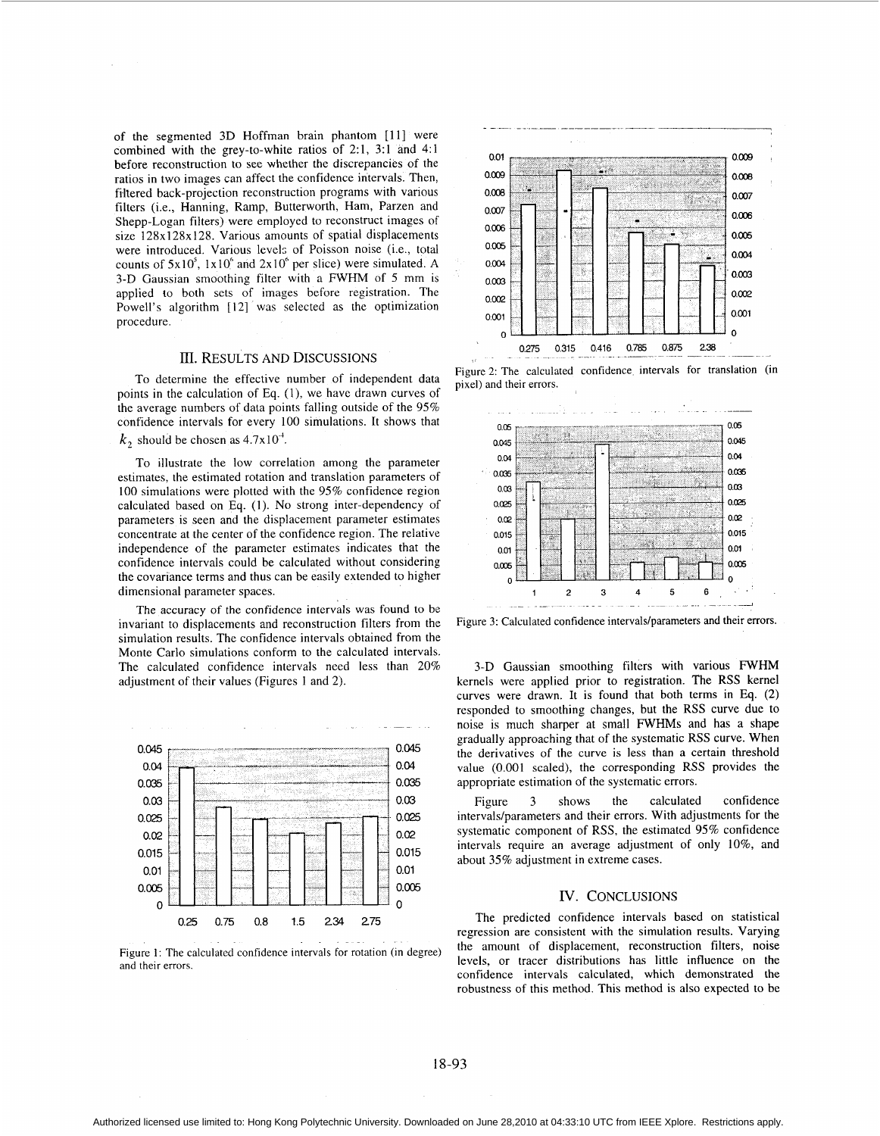of the segmented 3D Hoffman brain phantom [ll] were combined with the grey-to-white ratios of 2:1, 3:l and 4:l before reconstruction to see whether the discrepancies of the ratios in two images can affect the confidence intervals. Then, filtered back-projection reconstruction programs with various filters (i.e., Hanning, Ramp, Butterworth, Ham, Parzen and Shepp-Logan filters) were employed to reconstruct images of size 128x128x128. Various amounts of spatial displacements were introduced. Various levels of Poisson noise (i.e., total counts of  $5x10^5$ ,  $1x10^6$  and  $2x10^6$  per slice) were simulated. A 3-D Gaussian smoothing filter with a FWHM of *5* mm is applied to both sets of images before registration. The Powell's algorithm [12] was selected as the optimization procedure.

#### III. RESULTS AND DISCUSSIONS

To determine the effective number of independent data points in the calculation of Eq. (l), we have drawn curves of the average numbers of data points falling outside of the 95% confidence intervals for every 100 simulations. It shows that

 $k_2$  should be chosen as  $4.7 \times 10^{-4}$ .

To illustrate the low correlation among the parameter estimates, the estimated rotation and translation parameters of 100 simulations were plotted with the 95% confidence region calculated based on Eq. (I). No strong inter-dependency of parameters is seen and the displacement parameter estimates concentrate at the center of the confidence region. The relative independence of the parameter estimates indicates that the confidence intervals could be calculated without considering the covariance terms and thus can be easily extended to higher dimensional parameter spaces.

The accuracy of the confidence intervals was found to be invariant to displacements and reconstruction filters from the simulation results. The confidence intervals obtained from the Monte Carlo simulations conform to the calculated intervals. The calculated confidence intervals need less than 20% adjustment of their values (Figures 1 and 2).



Figure 1: The calculated confidence intervals for rotation (in degree) and their errors.



Figure 2: The calculated confidence intervals for translation (in pixel) and their errors.



Figure 3: Calculated confidence intervals/parameters and their errors.

3-D Gaussian smoothing filters with various FWHM kernels were applied prior to registration. The RSS kernel curves were drawn. It is found that both terms in **Eq. (2)**  responded to smoothing changes, but the RSS curve due to noise is much sharper at small FWHMs and has a shape gradually approaching that of the systematic RSS curve. When the derivatives of the curve is less than a certain threshold value (0,001 scaled), the corresponding RSS provides the appropriate estimation of the systematic errors.

Figure 3 shows the calculated confidence intervals/parameters and their errors. With adjustments for the systematic component of RSS, the estimated 95% confidence intervals require an average adjustment of only IO%, and about 35% adjustment in extreme cases.

# IV. CONCLUSIONS

The predicted confidence intervals based on statistical regression are consistent with the simulation results. Varying the amount of displacement, reconstruction filters, noise levels, or tracer distributions has little influence on the confidence intervals calculated, which demonstrated the robustness of this method. This method is also expected to be

## 18-93